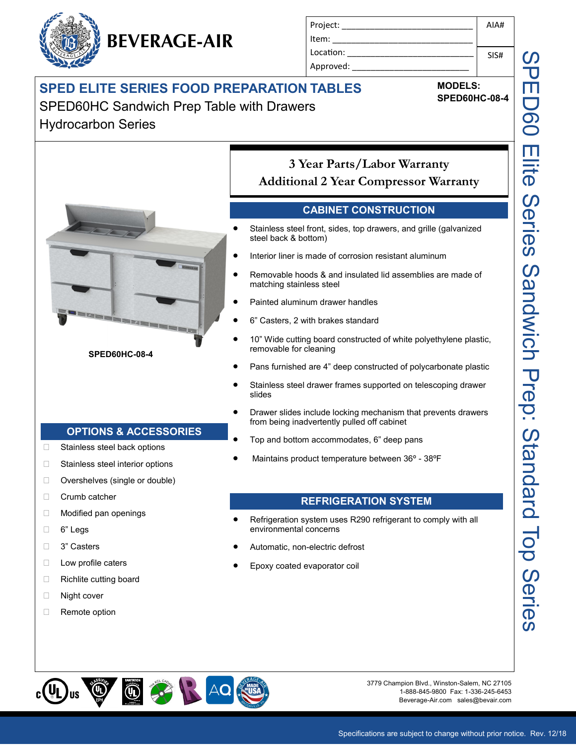## **SPED ELITE SERIES FOOD PREPARATION TABLES**

SPED60HC Sandwich Prep Table with Drawers Hydrocarbon Series

**BEVERAGE-AIR**



**MODELS: SPED60HC-08-4**

AIA#

SIS#

Project: \_\_\_\_\_\_\_\_\_\_\_\_\_\_\_\_\_\_\_\_\_\_\_\_\_\_\_\_ Item:

Location: Approved:

Specifications are subject to change without prior notice. Rev. 12/18

Beverage-Air.com sales@bevair.com